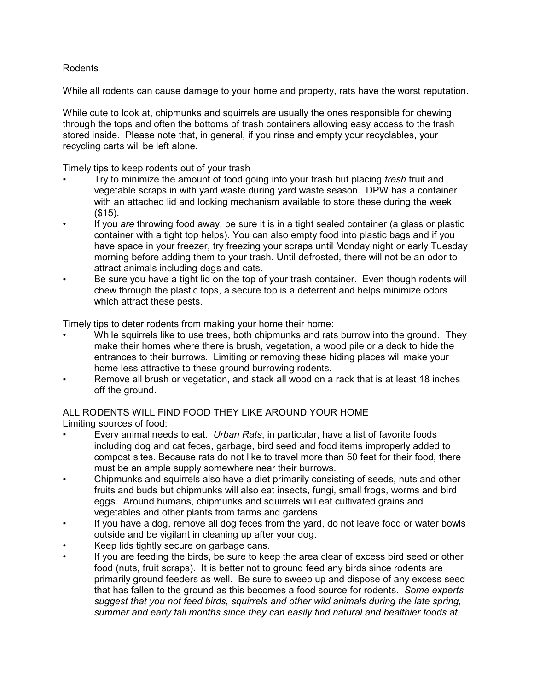## Rodents

While all rodents can cause damage to your home and property, rats have the worst reputation.

While cute to look at, chipmunks and squirrels are usually the ones responsible for chewing through the tops and often the bottoms of trash containers allowing easy access to the trash stored inside. Please note that, in general, if you rinse and empty your recyclables, your recycling carts will be left alone.

Timely tips to keep rodents out of your trash

- Try to minimize the amount of food going into your trash but placing *fresh* fruit and vegetable scraps in with yard waste during yard waste season. DPW has a container with an attached lid and locking mechanism available to store these during the week (\$15).
- If you *are* throwing food away, be sure it is in a tight sealed container (a glass or plastic container with a tight top helps). You can also empty food into plastic bags and if you have space in your freezer, try freezing your scraps until Monday night or early Tuesday morning before adding them to your trash. Until defrosted, there will not be an odor to attract animals including dogs and cats.
- Be sure you have a tight lid on the top of your trash container. Even though rodents will chew through the plastic tops, a secure top is a deterrent and helps minimize odors which attract these pests.

Timely tips to deter rodents from making your home their home:

- While squirrels like to use trees, both chipmunks and rats burrow into the ground. They make their homes where there is brush, vegetation, a wood pile or a deck to hide the entrances to their burrows. Limiting or removing these hiding places will make your home less attractive to these ground burrowing rodents.
- Remove all brush or vegetation, and stack all wood on a rack that is at least 18 inches off the ground.

## ALL RODENTS WILL FIND FOOD THEY LIKE AROUND YOUR HOME Limiting sources of food:

- Every animal needs to eat. *Urban Rats*, in particular, have a list of favorite foods including dog and cat feces, garbage, bird seed and food items improperly added to compost sites. Because rats do not like to travel more than 50 feet for their food, there must be an ample supply somewhere near their burrows.
- Chipmunks and squirrels also have a diet primarily consisting of seeds, nuts and other fruits and buds but chipmunks will also eat insects, fungi, small frogs, worms and bird eggs. Around humans, chipmunks and squirrels will eat cultivated grains and vegetables and other plants from farms and gardens.
- If you have a dog, remove all dog feces from the yard, do not leave food or water bowls outside and be vigilant in cleaning up after your dog.
- Keep lids tightly secure on garbage cans.
- If you are feeding the birds, be sure to keep the area clear of excess bird seed or other food (nuts, fruit scraps). It is better not to ground feed any birds since rodents are primarily ground feeders as well. Be sure to sweep up and dispose of any excess seed that has fallen to the ground as this becomes a food source for rodents. *Some experts suggest that you not feed birds, squirrels and other wild animals during the late spring, summer and early fall months since they can easily find natural and healthier foods at*